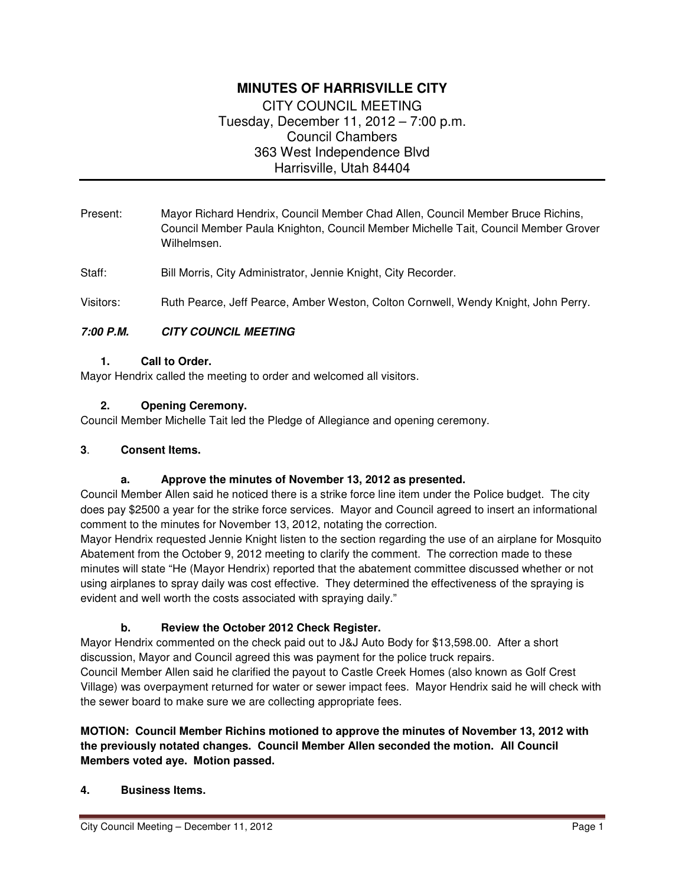# **MINUTES OF HARRISVILLE CITY**  CITY COUNCIL MEETING

Tuesday, December 11, 2012 – 7:00 p.m. Council Chambers 363 West Independence Blvd Harrisville, Utah 84404

- Present: Mayor Richard Hendrix, Council Member Chad Allen, Council Member Bruce Richins, Council Member Paula Knighton, Council Member Michelle Tait, Council Member Grover Wilhelmsen.
- Staff: Bill Morris, City Administrator, Jennie Knight, City Recorder.

Visitors: Ruth Pearce, Jeff Pearce, Amber Weston, Colton Cornwell, Wendy Knight, John Perry.

# **7:00 P.M. CITY COUNCIL MEETING**

### **1. Call to Order.**

Mayor Hendrix called the meeting to order and welcomed all visitors.

### **2. Opening Ceremony.**

Council Member Michelle Tait led the Pledge of Allegiance and opening ceremony.

### **3**. **Consent Items.**

# **a. Approve the minutes of November 13, 2012 as presented.**

Council Member Allen said he noticed there is a strike force line item under the Police budget. The city does pay \$2500 a year for the strike force services. Mayor and Council agreed to insert an informational comment to the minutes for November 13, 2012, notating the correction.

Mayor Hendrix requested Jennie Knight listen to the section regarding the use of an airplane for Mosquito Abatement from the October 9, 2012 meeting to clarify the comment. The correction made to these minutes will state "He (Mayor Hendrix) reported that the abatement committee discussed whether or not using airplanes to spray daily was cost effective. They determined the effectiveness of the spraying is evident and well worth the costs associated with spraying daily."

# **b. Review the October 2012 Check Register.**

Mayor Hendrix commented on the check paid out to J&J Auto Body for \$13,598.00. After a short discussion, Mayor and Council agreed this was payment for the police truck repairs.

Council Member Allen said he clarified the payout to Castle Creek Homes (also known as Golf Crest Village) was overpayment returned for water or sewer impact fees. Mayor Hendrix said he will check with the sewer board to make sure we are collecting appropriate fees.

# **MOTION: Council Member Richins motioned to approve the minutes of November 13, 2012 with the previously notated changes. Council Member Allen seconded the motion. All Council Members voted aye. Motion passed.**

# **4. Business Items.**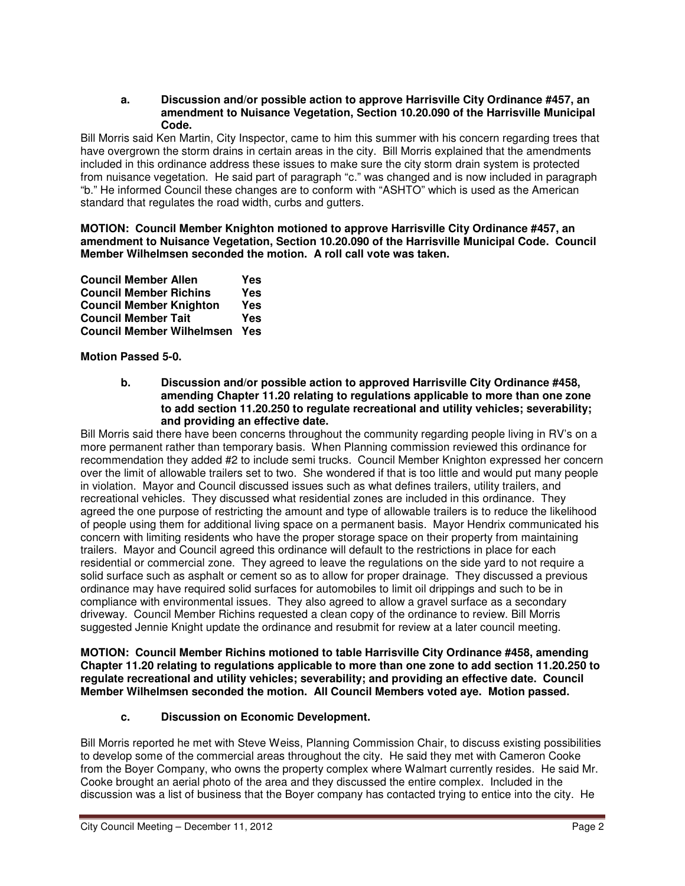#### **a. Discussion and/or possible action to approve Harrisville City Ordinance #457, an amendment to Nuisance Vegetation, Section 10.20.090 of the Harrisville Municipal Code.**

Bill Morris said Ken Martin, City Inspector, came to him this summer with his concern regarding trees that have overgrown the storm drains in certain areas in the city. Bill Morris explained that the amendments included in this ordinance address these issues to make sure the city storm drain system is protected from nuisance vegetation. He said part of paragraph "c." was changed and is now included in paragraph "b." He informed Council these changes are to conform with "ASHTO" which is used as the American standard that regulates the road width, curbs and gutters.

#### **MOTION: Council Member Knighton motioned to approve Harrisville City Ordinance #457, an amendment to Nuisance Vegetation, Section 10.20.090 of the Harrisville Municipal Code. Council Member Wilhelmsen seconded the motion. A roll call vote was taken.**

| <b>Council Member Allen</b>      | Yes |
|----------------------------------|-----|
| <b>Council Member Richins</b>    | Yes |
| <b>Council Member Knighton</b>   | Yes |
| <b>Council Member Tait</b>       | Yes |
| <b>Council Member Wilhelmsen</b> | Yes |

**Motion Passed 5-0.** 

**b. Discussion and/or possible action to approved Harrisville City Ordinance #458, amending Chapter 11.20 relating to regulations applicable to more than one zone to add section 11.20.250 to regulate recreational and utility vehicles; severability; and providing an effective date.** 

Bill Morris said there have been concerns throughout the community regarding people living in RV's on a more permanent rather than temporary basis. When Planning commission reviewed this ordinance for recommendation they added #2 to include semi trucks. Council Member Knighton expressed her concern over the limit of allowable trailers set to two. She wondered if that is too little and would put many people in violation. Mayor and Council discussed issues such as what defines trailers, utility trailers, and recreational vehicles. They discussed what residential zones are included in this ordinance. They agreed the one purpose of restricting the amount and type of allowable trailers is to reduce the likelihood of people using them for additional living space on a permanent basis. Mayor Hendrix communicated his concern with limiting residents who have the proper storage space on their property from maintaining trailers. Mayor and Council agreed this ordinance will default to the restrictions in place for each residential or commercial zone. They agreed to leave the regulations on the side yard to not require a solid surface such as asphalt or cement so as to allow for proper drainage. They discussed a previous ordinance may have required solid surfaces for automobiles to limit oil drippings and such to be in compliance with environmental issues. They also agreed to allow a gravel surface as a secondary driveway. Council Member Richins requested a clean copy of the ordinance to review. Bill Morris suggested Jennie Knight update the ordinance and resubmit for review at a later council meeting.

**MOTION: Council Member Richins motioned to table Harrisville City Ordinance #458, amending Chapter 11.20 relating to regulations applicable to more than one zone to add section 11.20.250 to regulate recreational and utility vehicles; severability; and providing an effective date. Council Member Wilhelmsen seconded the motion. All Council Members voted aye. Motion passed.** 

# **c. Discussion on Economic Development.**

Bill Morris reported he met with Steve Weiss, Planning Commission Chair, to discuss existing possibilities to develop some of the commercial areas throughout the city. He said they met with Cameron Cooke from the Boyer Company, who owns the property complex where Walmart currently resides. He said Mr. Cooke brought an aerial photo of the area and they discussed the entire complex. Included in the discussion was a list of business that the Boyer company has contacted trying to entice into the city. He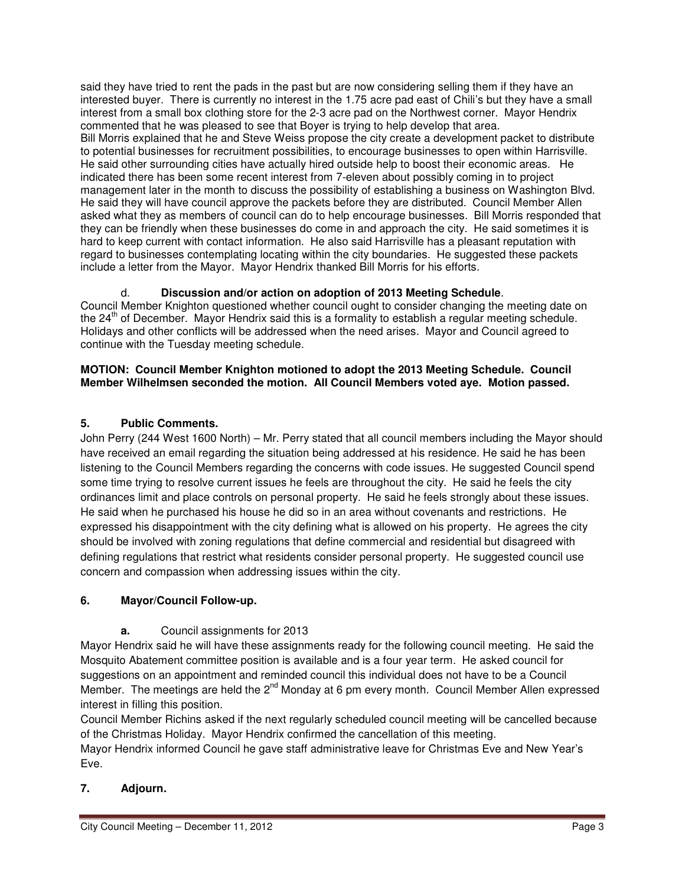said they have tried to rent the pads in the past but are now considering selling them if they have an interested buyer. There is currently no interest in the 1.75 acre pad east of Chili's but they have a small interest from a small box clothing store for the 2-3 acre pad on the Northwest corner. Mayor Hendrix commented that he was pleased to see that Boyer is trying to help develop that area. Bill Morris explained that he and Steve Weiss propose the city create a development packet to distribute to potential businesses for recruitment possibilities, to encourage businesses to open within Harrisville. He said other surrounding cities have actually hired outside help to boost their economic areas. He indicated there has been some recent interest from 7-eleven about possibly coming in to project management later in the month to discuss the possibility of establishing a business on Washington Blvd. He said they will have council approve the packets before they are distributed. Council Member Allen asked what they as members of council can do to help encourage businesses. Bill Morris responded that they can be friendly when these businesses do come in and approach the city. He said sometimes it is hard to keep current with contact information. He also said Harrisville has a pleasant reputation with regard to businesses contemplating locating within the city boundaries. He suggested these packets include a letter from the Mayor. Mayor Hendrix thanked Bill Morris for his efforts.

# d. **Discussion and/or action on adoption of 2013 Meeting Schedule**.

Council Member Knighton questioned whether council ought to consider changing the meeting date on the 24<sup>th</sup> of December. Mayor Hendrix said this is a formality to establish a regular meeting schedule. Holidays and other conflicts will be addressed when the need arises. Mayor and Council agreed to continue with the Tuesday meeting schedule.

### **MOTION: Council Member Knighton motioned to adopt the 2013 Meeting Schedule. Council Member Wilhelmsen seconded the motion. All Council Members voted aye. Motion passed.**

# **5. Public Comments.**

John Perry (244 West 1600 North) – Mr. Perry stated that all council members including the Mayor should have received an email regarding the situation being addressed at his residence. He said he has been listening to the Council Members regarding the concerns with code issues. He suggested Council spend some time trying to resolve current issues he feels are throughout the city. He said he feels the city ordinances limit and place controls on personal property. He said he feels strongly about these issues. He said when he purchased his house he did so in an area without covenants and restrictions. He expressed his disappointment with the city defining what is allowed on his property. He agrees the city should be involved with zoning regulations that define commercial and residential but disagreed with defining regulations that restrict what residents consider personal property. He suggested council use concern and compassion when addressing issues within the city.

# **6. Mayor/Council Follow-up.**

# **a.** Council assignments for 2013

Mayor Hendrix said he will have these assignments ready for the following council meeting. He said the Mosquito Abatement committee position is available and is a four year term. He asked council for suggestions on an appointment and reminded council this individual does not have to be a Council Member. The meetings are held the  $2^{nd}$  Monday at 6 pm every month. Council Member Allen expressed interest in filling this position.

Council Member Richins asked if the next regularly scheduled council meeting will be cancelled because of the Christmas Holiday. Mayor Hendrix confirmed the cancellation of this meeting. Mayor Hendrix informed Council he gave staff administrative leave for Christmas Eve and New Year's Eve.

# **7. Adjourn.**